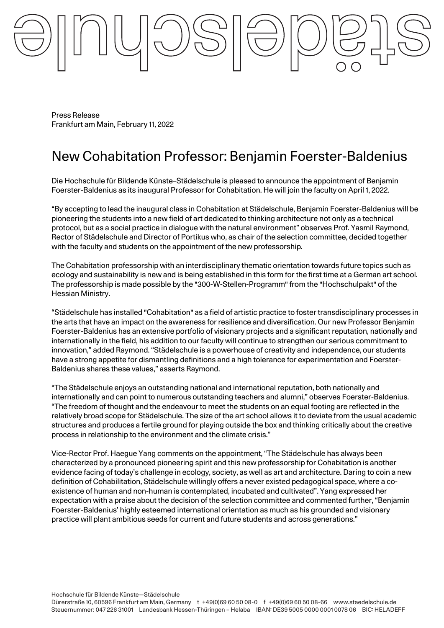Press Release Frankfurt am Main, February 11, 2022

# New Cohabitation Professor: Benjamin Foerster-Baldenius

Die Hochschule für Bildende Künste–Städelschule is pleased to announce the appointment of Benjamin Foerster-Baldenius as its inaugural Professor for Cohabitation. He will join the faculty on April 1, 2022.

"By accepting to lead the inaugural class in Cohabitation at Städelschule, Benjamin Foerster-Baldenius will be pioneering the students into a new field of art dedicated to thinking architecture not only as a technical protocol, but as a social practice in dialogue with the natural environment" observes Prof. Yasmil Raymond, Rector of Städelschule and Director of Portikus who, as chair of the selection committee, decided together with the faculty and students on the appointment of the new professorship.

The Cohabitation professorship with an interdisciplinary thematic orientation towards future topics such as ecology and sustainability is new and is being established in this form for the first time at a German art school. The professorship is made possible by the "300-W-Stellen-Programm" from the "Hochschulpakt" of the Hessian Ministry.

"Städelschule has installed "Cohabitation" as a field of artistic practice to foster transdisciplinary processes in the arts that have an impact on the awareness for resilience and diversification. Our new Professor Benjamin Foerster-Baldenius has an extensive portfolio of visionary projects and a significant reputation, nationally and internationally in the field, his addition to our faculty will continue to strengthen our serious commitment to innovation," added Raymond. "Städelschule is a powerhouse of creativity and independence, our students have a strong appetite for dismantling definitions and a high tolerance for experimentation and Foerster-Baldenius shares these values," asserts Raymond.

"The Städelschule enjoys an outstanding national and international reputation, both nationally and internationally and can point to numerous outstanding teachers and alumni," observes Foerster-Baldenius. "The freedom of thought and the endeavour to meet the students on an equal footing are reflected in the relatively broad scope for Städelschule. The size of the art school allows it to deviate from the usual academic structures and produces a fertile ground for playing outside the box and thinking critically about the creative process in relationship to the environment and the climate crisis."

Vice-Rector Prof. Haegue Yang comments on the appointment, "The Städelschule has always been characterized by a pronounced pioneering spirit and this new professorship for Cohabitation is another evidence facing of today's challenge in ecology, society, as well as art and architecture. Daring to coin a new definition of Cohabilitation, Städelschule willingly offers a never existed pedagogical space, where a coexistence of human and non-human is contemplated, incubated and cultivated". Yang expressed her expectation with a praise about the decision of the selection committee and commented further, "Benjamin Foerster-Baldenius' highly esteemed international orientation as much as his grounded and visionary practice will plant ambitious seeds for current and future students and across generations."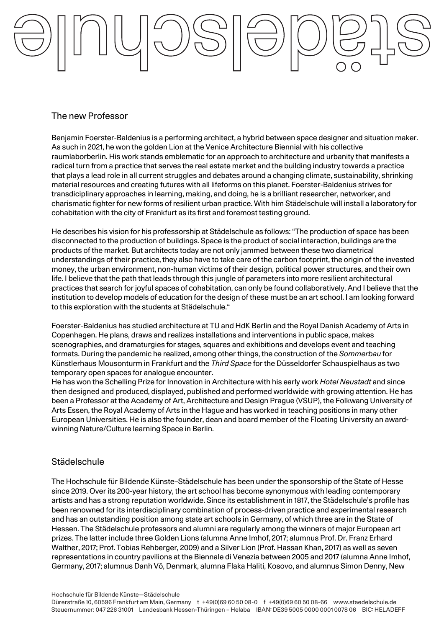## The new Professor

Benjamin Foerster-Baldenius is a performing architect, a hybrid between space designer and situation maker. As such in 2021, he won the golden Lion at the Venice Architecture Biennial with his collective raumlaborberlin. His work stands emblematic for an approach to architecture and urbanity that manifests a radical turn from a practice that serves the real estate market and the building industry towards a practice that plays a lead role in all current struggles and debates around a changing climate, sustainability, shrinking material resources and creating futures with all lifeforms on this planet. Foerster-Baldenius strives for transdiciplinary approaches in learning, making, and doing, he is a brilliant researcher, networker, and charismatic fighter for new forms of resilient urban practice. With him Städelschule will install a laboratory for cohabitation with the city of Frankfurt as its first and foremost testing ground.

He describes his vision for his professorship at Städelschule as follows: "The production of space has been disconnected to the production of buildings. Space is the product of social interaction, buildings are the products of the market. But architects today are not only jammed between these two diametrical understandings of their practice, they also have to take care of the carbon footprint, the origin of the invested money, the urban environment, non-human victims of their design, political power structures, and their own life. I believe that the path that leads through this jungle of parameters into more resilient architectural practices that search for joyful spaces of cohabitation, can only be found collaboratively. And I believe that the institution to develop models of education for the design of these must be an art school. I am looking forward to this exploration with the students at Städelschule."

Foerster-Baldenius has studied architecture at TU and HdK Berlin and the Royal Danish Academy of Arts in Copenhagen. He plans, draws and realizes installations and interventions in public space, makes scenographies, and dramaturgies for stages, squares and exhibitions and develops event and teaching formats. During the pandemic he realized, among other things, the construction of the *Sommerbau* for Künstlerhaus Mousonturm in Frankfurt and the *Third Space* for the Düsseldorfer Schauspielhaus as two temporary open spaces for analogue encounter.

He has won the Schelling Prize for Innovation in Architecture with his early work *Hotel Neustadt* and since then designed and produced, displayed, published and performed worldwide with growing attention. He has been a Professor at the Academy of Art, Architecture and Design Prague (VSUP), the Folkwang University of Arts Essen, the Royal Academy of Arts in the Hague and has worked in teaching positions in many other European Universities. He is also the founder, dean and board member of the Floating University an awardwinning Nature/Culture learning Space in Berlin.

### **Städelschule**

The Hochschule für Bildende Künste–Städelschule has been under the sponsorship of the State of Hesse since 2019. Over its 200-year history, the art school has become synonymous with leading contemporary artists and has a strong reputation worldwide. Since its establishment in 1817, the Städelschule's profile has been renowned for its interdisciplinary combination of process-driven practice and experimental research and has an outstanding position among state art schools in Germany, of which three are in the State of Hessen. The Städelschule professors and alumni are regularly among the winners of major European art prizes. The latter include three Golden Lions (alumna Anne Imhof, 2017; alumnus Prof. Dr. Franz Erhard Walther, 2017; Prof. Tobias Rehberger, 2009) and a Silver Lion (Prof. Hassan Khan, 2017) as well as seven representations in country pavilions at the Biennale di Venezia between 2005 and 2017 (alumna Anne Imhof, Germany, 2017; alumnus Danh Vō, Denmark, alumna Flaka Haliti, Kosovo, and alumnus Simon Denny, New